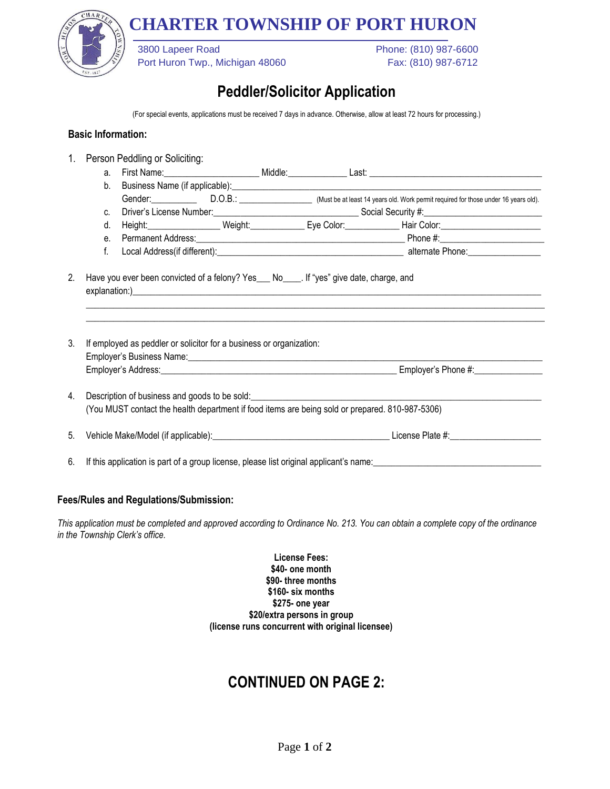# **CHARTER TOWNSHIP OF PORT HURON**



Port Huron Twp., Michigan 48060 Fax: (810) 987-6712

3800 Lapeer Road Phone: (810) 987-6600

### **Peddler/Solicitor Application**

(For special events, applications must be received 7 days in advance. Otherwise, allow at least 72 hours for processing.)

#### **Basic Information:**

| 1. |                                                                                                 | Person Peddling or Soliciting:                                                                                                                                                     |  |  |                                                                                                            |  |  |
|----|-------------------------------------------------------------------------------------------------|------------------------------------------------------------------------------------------------------------------------------------------------------------------------------------|--|--|------------------------------------------------------------------------------------------------------------|--|--|
|    | a.                                                                                              |                                                                                                                                                                                    |  |  |                                                                                                            |  |  |
|    | $b_{-}$                                                                                         |                                                                                                                                                                                    |  |  |                                                                                                            |  |  |
|    |                                                                                                 |                                                                                                                                                                                    |  |  | Gender: D.O.B.: D.O.B.: Must be at least 14 years old. Work permit required for those under 16 years old). |  |  |
|    | $C_{\cdot}$                                                                                     |                                                                                                                                                                                    |  |  |                                                                                                            |  |  |
|    | d.                                                                                              |                                                                                                                                                                                    |  |  | Height: Net Color: Neight: Neight: Net Color: Net Color: Net Color: Net Color:                             |  |  |
|    | $e_{1}$                                                                                         |                                                                                                                                                                                    |  |  |                                                                                                            |  |  |
|    | f.                                                                                              |                                                                                                                                                                                    |  |  |                                                                                                            |  |  |
| 3. | If employed as peddler or solicitor for a business or organization:                             |                                                                                                                                                                                    |  |  |                                                                                                            |  |  |
|    |                                                                                                 |                                                                                                                                                                                    |  |  |                                                                                                            |  |  |
|    |                                                                                                 |                                                                                                                                                                                    |  |  |                                                                                                            |  |  |
| 4. | Description of business and goods to be sold: ___________________________________               |                                                                                                                                                                                    |  |  |                                                                                                            |  |  |
|    | (You MUST contact the health department if food items are being sold or prepared. 810-987-5306) |                                                                                                                                                                                    |  |  |                                                                                                            |  |  |
| 5. |                                                                                                 |                                                                                                                                                                                    |  |  |                                                                                                            |  |  |
| 6. |                                                                                                 | If this application is part of a group license, please list original applicant's name: [11] If this application is part of a group license, please list original applicant's name: |  |  |                                                                                                            |  |  |

#### **Fees/Rules and Regulations/Submission:**

*This application must be completed and approved according to Ordinance No. 213. You can obtain a complete copy of the ordinance in the Township Clerk's office.*

> **License Fees: \$40- one month \$90- three months \$160- six months \$275- one year \$20/extra persons in group (license runs concurrent with original licensee)**

## **CONTINUED ON PAGE 2:**